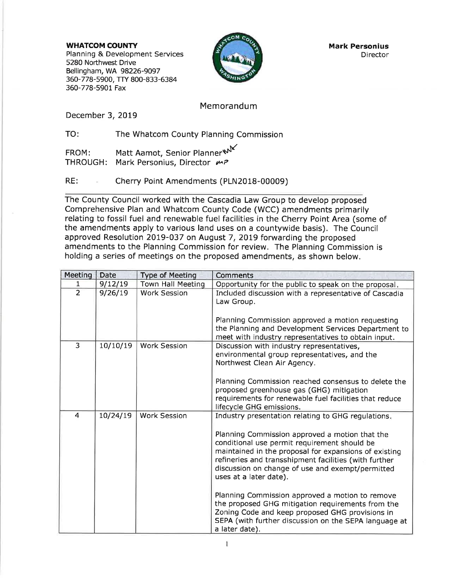WHATCOM COUNTY Planning & Development Services 5280 Northwest Drive Bellingham, WA 98226-9097 360-778-5900, TTY 800-833-6384 360-778-5901 Fax



Mark Personius **Director** 

# Memorandum

December 3, 2019

TO: The Whatcom County Planning Commission

FROM: Matt Aamot, Senior Planner\N THROUGH: Mark Personius, Director  $\mu$ P

RE: Cherry Point Amendments (PLN2018-00009)

The County Council worked with the Cascadia Law Group to develop proposed Comprehensive Plan and Whatcom County Code (WCC) amendments primarily relating to fossil fuel and renewable fuel facilities in the Cherry Point Area (some of the amendments apply to various land uses on a countywide basis). The Council approved Resolution 2019-037 on August 7, 2019 forwarding the proposed amendments to the Planning Commission for review, The Planning Commission is holding a series of meetings on the proposed amendments, as shown below.

| Meeting        | <b>Date</b> | <b>Type of Meeting</b>   | <b>Comments</b>                                                                                                                                                                                                                                                                                                                                                                                                                                                                                                                                                                            |
|----------------|-------------|--------------------------|--------------------------------------------------------------------------------------------------------------------------------------------------------------------------------------------------------------------------------------------------------------------------------------------------------------------------------------------------------------------------------------------------------------------------------------------------------------------------------------------------------------------------------------------------------------------------------------------|
| 1              | 9/12/19     | <b>Town Hall Meeting</b> | Opportunity for the public to speak on the proposal.                                                                                                                                                                                                                                                                                                                                                                                                                                                                                                                                       |
| $\overline{2}$ | 9/26/19     | <b>Work Session</b>      | Included discussion with a representative of Cascadia<br>Law Group.<br>Planning Commission approved a motion requesting<br>the Planning and Development Services Department to<br>meet with industry representatives to obtain input.                                                                                                                                                                                                                                                                                                                                                      |
| 3              | 10/10/19    | <b>Work Session</b>      | Discussion with industry representatives,<br>environmental group representatives, and the<br>Northwest Clean Air Agency.<br>Planning Commission reached consensus to delete the<br>proposed greenhouse gas (GHG) mitigation<br>requirements for renewable fuel facilities that reduce<br>lifecycle GHG emissions.                                                                                                                                                                                                                                                                          |
| 4              | 10/24/19    | <b>Work Session</b>      | Industry presentation relating to GHG regulations.<br>Planning Commission approved a motion that the<br>conditional use permit requirement should be<br>maintained in the proposal for expansions of existing<br>refineries and transshipment facilities (with further<br>discussion on change of use and exempt/permitted<br>uses at a later date).<br>Planning Commission approved a motion to remove<br>the proposed GHG mitigation requirements from the<br>Zoning Code and keep proposed GHG provisions in<br>SEPA (with further discussion on the SEPA language at<br>a later date). |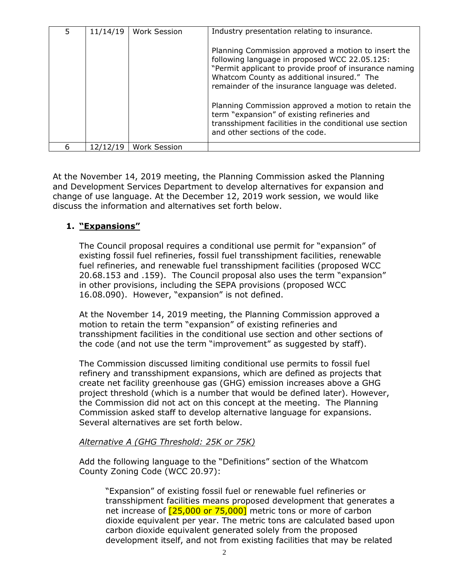| 11/14/19 | <b>Work Session</b> | Industry presentation relating to insurance.                                                                                                                                                                                                                     |
|----------|---------------------|------------------------------------------------------------------------------------------------------------------------------------------------------------------------------------------------------------------------------------------------------------------|
|          |                     | Planning Commission approved a motion to insert the<br>following language in proposed WCC 22.05.125:<br>"Permit applicant to provide proof of insurance naming<br>Whatcom County as additional insured." The<br>remainder of the insurance language was deleted. |
|          |                     | Planning Commission approved a motion to retain the<br>term "expansion" of existing refineries and<br>transshipment facilities in the conditional use section<br>and other sections of the code.                                                                 |
| /12/19   | Work Session        |                                                                                                                                                                                                                                                                  |

At the November 14, 2019 meeting, the Planning Commission asked the Planning and Development Services Department to develop alternatives for expansion and change of use language. At the December 12, 2019 work session, we would like discuss the information and alternatives set forth below.

# **1. "Expansions"**

The Council proposal requires a conditional use permit for "expansion" of existing fossil fuel refineries, fossil fuel transshipment facilities, renewable fuel refineries, and renewable fuel transshipment facilities (proposed WCC 20.68.153 and .159). The Council proposal also uses the term "expansion" in other provisions, including the SEPA provisions (proposed WCC 16.08.090). However, "expansion" is not defined.

At the November 14, 2019 meeting, the Planning Commission approved a motion to retain the term "expansion" of existing refineries and transshipment facilities in the conditional use section and other sections of the code (and not use the term "improvement" as suggested by staff).

The Commission discussed limiting conditional use permits to fossil fuel refinery and transshipment expansions, which are defined as projects that create net facility greenhouse gas (GHG) emission increases above a GHG project threshold (which is a number that would be defined later). However, the Commission did not act on this concept at the meeting. The Planning Commission asked staff to develop alternative language for expansions. Several alternatives are set forth below.

#### *Alternative A (GHG Threshold: 25K or 75K)*

Add the following language to the "Definitions" section of the Whatcom County Zoning Code (WCC 20.97):

"Expansion" of existing fossil fuel or renewable fuel refineries or transshipment facilities means proposed development that generates a net increase of  $[25,000$  or 75,000] metric tons or more of carbon dioxide equivalent per year. The metric tons are calculated based upon carbon dioxide equivalent generated solely from the proposed development itself, and not from existing facilities that may be related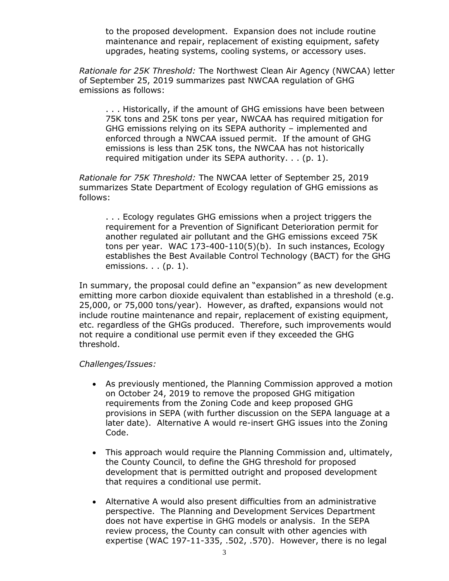to the proposed development. Expansion does not include routine maintenance and repair, replacement of existing equipment, safety upgrades, heating systems, cooling systems, or accessory uses.

*Rationale for 25K Threshold:* The Northwest Clean Air Agency (NWCAA) letter of September 25, 2019 summarizes past NWCAA regulation of GHG emissions as follows:

. . . Historically, if the amount of GHG emissions have been between 75K tons and 25K tons per year, NWCAA has required mitigation for GHG emissions relying on its SEPA authority – implemented and enforced through a NWCAA issued permit. If the amount of GHG emissions is less than 25K tons, the NWCAA has not historically required mitigation under its SEPA authority. . . (p. 1).

*Rationale for 75K Threshold:* The NWCAA letter of September 25, 2019 summarizes State Department of Ecology regulation of GHG emissions as follows:

. . . Ecology regulates GHG emissions when a project triggers the requirement for a Prevention of Significant Deterioration permit for another regulated air pollutant and the GHG emissions exceed 75K tons per year. WAC 173-400-110(5)(b). In such instances, Ecology establishes the Best Available Control Technology (BACT) for the GHG emissions. . . (p. 1).

In summary, the proposal could define an "expansion" as new development emitting more carbon dioxide equivalent than established in a threshold (e.g. 25,000, or 75,000 tons/year). However, as drafted, expansions would not include routine maintenance and repair, replacement of existing equipment, etc. regardless of the GHGs produced. Therefore, such improvements would not require a conditional use permit even if they exceeded the GHG threshold.

#### *Challenges/Issues:*

- As previously mentioned, the Planning Commission approved a motion on October 24, 2019 to remove the proposed GHG mitigation requirements from the Zoning Code and keep proposed GHG provisions in SEPA (with further discussion on the SEPA language at a later date). Alternative A would re-insert GHG issues into the Zoning Code.
- This approach would require the Planning Commission and, ultimately, the County Council, to define the GHG threshold for proposed development that is permitted outright and proposed development that requires a conditional use permit.
- Alternative A would also present difficulties from an administrative perspective. The Planning and Development Services Department does not have expertise in GHG models or analysis. In the SEPA review process, the County can consult with other agencies with expertise (WAC 197-11-335, .502, .570). However, there is no legal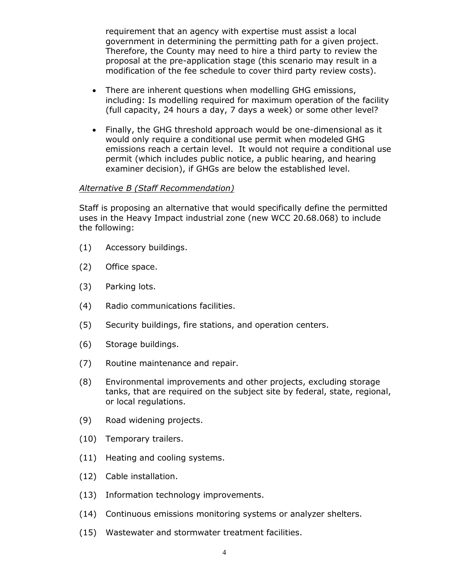requirement that an agency with expertise must assist a local government in determining the permitting path for a given project. Therefore, the County may need to hire a third party to review the proposal at the pre-application stage (this scenario may result in a modification of the fee schedule to cover third party review costs).

- There are inherent questions when modelling GHG emissions, including: Is modelling required for maximum operation of the facility (full capacity, 24 hours a day, 7 days a week) or some other level?
- Finally, the GHG threshold approach would be one-dimensional as it would only require a conditional use permit when modeled GHG emissions reach a certain level. It would not require a conditional use permit (which includes public notice, a public hearing, and hearing examiner decision), if GHGs are below the established level.

#### *Alternative B (Staff Recommendation)*

Staff is proposing an alternative that would specifically define the permitted uses in the Heavy Impact industrial zone (new WCC 20.68.068) to include the following:

- (1) Accessory buildings.
- (2) Office space.
- (3) Parking lots.
- (4) Radio communications facilities.
- (5) Security buildings, fire stations, and operation centers.
- (6) Storage buildings.
- (7) Routine maintenance and repair.
- (8) Environmental improvements and other projects, excluding storage tanks, that are required on the subject site by federal, state, regional, or local regulations.
- (9) Road widening projects.
- (10) Temporary trailers.
- (11) Heating and cooling systems.
- (12) Cable installation.
- (13) Information technology improvements.
- (14) Continuous emissions monitoring systems or analyzer shelters.
- (15) Wastewater and stormwater treatment facilities.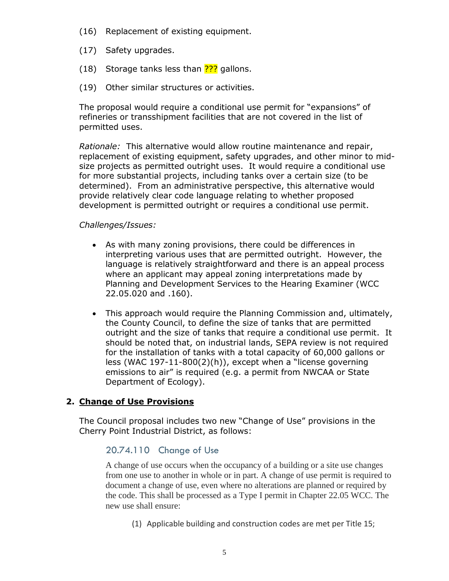- (16) Replacement of existing equipment.
- (17) Safety upgrades.
- (18) Storage tanks less than **???** gallons.
- (19) Other similar structures or activities.

The proposal would require a conditional use permit for "expansions" of refineries or transshipment facilities that are not covered in the list of permitted uses.

*Rationale:* This alternative would allow routine maintenance and repair, replacement of existing equipment, safety upgrades, and other minor to midsize projects as permitted outright uses. It would require a conditional use for more substantial projects, including tanks over a certain size (to be determined). From an administrative perspective, this alternative would provide relatively clear code language relating to whether proposed development is permitted outright or requires a conditional use permit.

#### *Challenges/Issues:*

- As with many zoning provisions, there could be differences in interpreting various uses that are permitted outright. However, the language is relatively straightforward and there is an appeal process where an applicant may appeal zoning interpretations made by Planning and Development Services to the Hearing Examiner (WCC 22.05.020 and .160).
- This approach would require the Planning Commission and, ultimately, the County Council, to define the size of tanks that are permitted outright and the size of tanks that require a conditional use permit. It should be noted that, on industrial lands, SEPA review is not required for the installation of tanks with a total capacity of 60,000 gallons or less (WAC 197-11-800(2)(h)), except when a "license governing emissions to air" is required (e.g. a permit from NWCAA or State Department of Ecology).

# **2. Change of Use Provisions**

The Council proposal includes two new "Change of Use" provisions in the Cherry Point Industrial District, as follows:

# 20.74.110 Change of Use

A change of use occurs when the occupancy of a building or a site use changes from one use to another in whole or in part. A change of use permit is required to document a change of use, even where no alterations are planned or required by the code. This shall be processed as a Type I permit in Chapter 22.05 WCC. The new use shall ensure:

(1) Applicable building and construction codes are met per Title 15;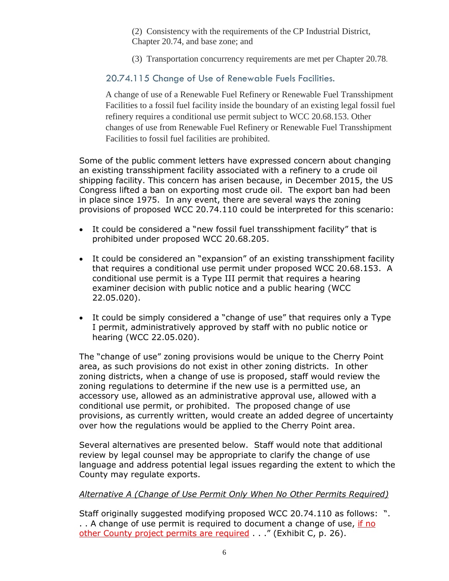(2) Consistency with the requirements of the CP Industrial District, Chapter 20.74, and base zone; and

(3) Transportation concurrency requirements are met per Chapter 20.78.

# 20.74.115 Change of Use of Renewable Fuels Facilities.

A change of use of a Renewable Fuel Refinery or Renewable Fuel Transshipment Facilities to a fossil fuel facility inside the boundary of an existing legal fossil fuel refinery requires a conditional use permit subject to WCC 20.68.153. Other changes of use from Renewable Fuel Refinery or Renewable Fuel Transshipment Facilities to fossil fuel facilities are prohibited.

Some of the public comment letters have expressed concern about changing an existing transshipment facility associated with a refinery to a crude oil shipping facility. This concern has arisen because, in December 2015, the US Congress lifted a ban on exporting most crude oil. The export ban had been in place since 1975. In any event, there are several ways the zoning provisions of proposed WCC 20.74.110 could be interpreted for this scenario:

- It could be considered a "new fossil fuel transshipment facility" that is prohibited under proposed WCC 20.68.205.
- It could be considered an "expansion" of an existing transshipment facility that requires a conditional use permit under proposed WCC 20.68.153. A conditional use permit is a Type III permit that requires a hearing examiner decision with public notice and a public hearing (WCC 22.05.020).
- It could be simply considered a "change of use" that requires only a Type I permit, administratively approved by staff with no public notice or hearing (WCC 22.05.020).

The "change of use" zoning provisions would be unique to the Cherry Point area, as such provisions do not exist in other zoning districts. In other zoning districts, when a change of use is proposed, staff would review the zoning regulations to determine if the new use is a permitted use, an accessory use, allowed as an administrative approval use, allowed with a conditional use permit, or prohibited. The proposed change of use provisions, as currently written, would create an added degree of uncertainty over how the regulations would be applied to the Cherry Point area.

Several alternatives are presented below. Staff would note that additional review by legal counsel may be appropriate to clarify the change of use language and address potential legal issues regarding the extent to which the County may regulate exports.

# *Alternative A (Change of Use Permit Only When No Other Permits Required)*

Staff originally suggested modifying proposed WCC 20.74.110 as follows: ". . . A change of use permit is required to document a change of use, if no other County project permits are required . . ." (Exhibit C, p. 26).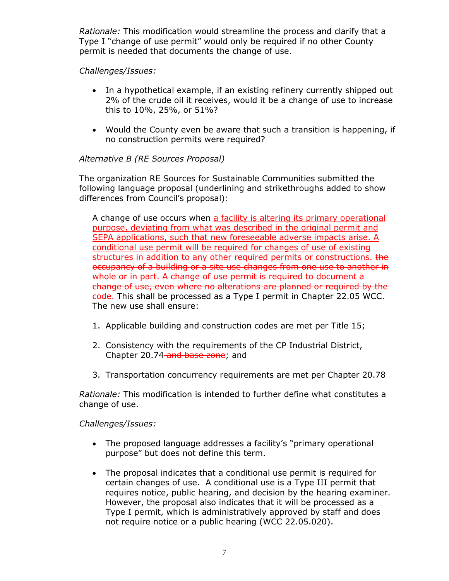*Rationale:* This modification would streamline the process and clarify that a Type I "change of use permit" would only be required if no other County permit is needed that documents the change of use.

# *Challenges/Issues:*

- In a hypothetical example, if an existing refinery currently shipped out 2% of the crude oil it receives, would it be a change of use to increase this to 10%, 25%, or 51%?
- Would the County even be aware that such a transition is happening, if no construction permits were required?

# *Alternative B (RE Sources Proposal)*

The organization RE Sources for Sustainable Communities submitted the following language proposal (underlining and strikethroughs added to show differences from Council's proposal):

A change of use occurs when a facility is altering its primary operational purpose, deviating from what was described in the original permit and SEPA applications, such that new foreseeable adverse impacts arise. A conditional use permit will be required for changes of use of existing structures in addition to any other required permits or constructions. the occupancy of a building or a site use changes from one use to another in whole or in part. A change of use permit is required to document a change of use, even where no alterations are planned or required by the code. This shall be processed as a Type I permit in Chapter 22.05 WCC. The new use shall ensure:

- 1. Applicable building and construction codes are met per Title 15;
- 2. Consistency with the requirements of the CP Industrial District, Chapter 20.74-and base zone; and
- 3. Transportation concurrency requirements are met per Chapter 20.78

*Rationale:* This modification is intended to further define what constitutes a change of use.

*Challenges/Issues:*

- The proposed language addresses a facility's "primary operational purpose" but does not define this term.
- The proposal indicates that a conditional use permit is required for certain changes of use. A conditional use is a Type III permit that requires notice, public hearing, and decision by the hearing examiner. However, the proposal also indicates that it will be processed as a Type I permit, which is administratively approved by staff and does not require notice or a public hearing (WCC 22.05.020).